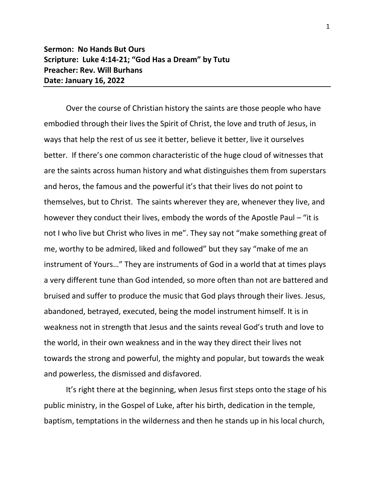## **Sermon: No Hands But Ours Scripture: Luke 4:14-21; "God Has a Dream" by Tutu Preacher: Rev. Will Burhans Date: January 16, 2022**

Over the course of Christian history the saints are those people who have embodied through their lives the Spirit of Christ, the love and truth of Jesus, in ways that help the rest of us see it better, believe it better, live it ourselves better. If there's one common characteristic of the huge cloud of witnesses that are the saints across human history and what distinguishes them from superstars and heros, the famous and the powerful it's that their lives do not point to themselves, but to Christ. The saints wherever they are, whenever they live, and however they conduct their lives, embody the words of the Apostle Paul – "it is not I who live but Christ who lives in me". They say not "make something great of me, worthy to be admired, liked and followed" but they say "make of me an instrument of Yours…" They are instruments of God in a world that at times plays a very different tune than God intended, so more often than not are battered and bruised and suffer to produce the music that God plays through their lives. Jesus, abandoned, betrayed, executed, being the model instrument himself. It is in weakness not in strength that Jesus and the saints reveal God's truth and love to the world, in their own weakness and in the way they direct their lives not towards the strong and powerful, the mighty and popular, but towards the weak and powerless, the dismissed and disfavored.

It's right there at the beginning, when Jesus first steps onto the stage of his public ministry, in the Gospel of Luke, after his birth, dedication in the temple, baptism, temptations in the wilderness and then he stands up in his local church,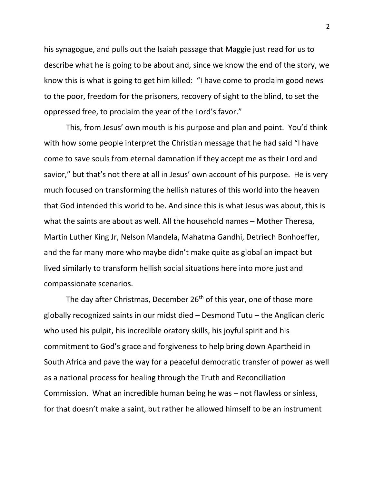his synagogue, and pulls out the Isaiah passage that Maggie just read for us to describe what he is going to be about and, since we know the end of the story, we know this is what is going to get him killed: "I have come to proclaim good news to the poor, freedom for the prisoners, recovery of sight to the blind, to set the oppressed free, to proclaim the year of the Lord's favor."

This, from Jesus' own mouth is his purpose and plan and point. You'd think with how some people interpret the Christian message that he had said "I have come to save souls from eternal damnation if they accept me as their Lord and savior," but that's not there at all in Jesus' own account of his purpose. He is very much focused on transforming the hellish natures of this world into the heaven that God intended this world to be. And since this is what Jesus was about, this is what the saints are about as well. All the household names – Mother Theresa, Martin Luther King Jr, Nelson Mandela, Mahatma Gandhi, Detriech Bonhoeffer, and the far many more who maybe didn't make quite as global an impact but lived similarly to transform hellish social situations here into more just and compassionate scenarios.

The day after Christmas, December 26<sup>th</sup> of this year, one of those more globally recognized saints in our midst died – Desmond Tutu – the Anglican cleric who used his pulpit, his incredible oratory skills, his joyful spirit and his commitment to God's grace and forgiveness to help bring down Apartheid in South Africa and pave the way for a peaceful democratic transfer of power as well as a national process for healing through the Truth and Reconciliation Commission. What an incredible human being he was – not flawless or sinless, for that doesn't make a saint, but rather he allowed himself to be an instrument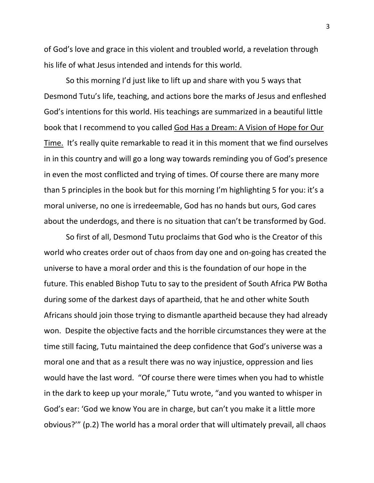of God's love and grace in this violent and troubled world, a revelation through his life of what Jesus intended and intends for this world.

So this morning I'd just like to lift up and share with you 5 ways that Desmond Tutu's life, teaching, and actions bore the marks of Jesus and enfleshed God's intentions for this world. His teachings are summarized in a beautiful little book that I recommend to you called God Has a Dream: A Vision of Hope for Our Time. It's really quite remarkable to read it in this moment that we find ourselves in in this country and will go a long way towards reminding you of God's presence in even the most conflicted and trying of times. Of course there are many more than 5 principles in the book but for this morning I'm highlighting 5 for you: it's a moral universe, no one is irredeemable, God has no hands but ours, God cares about the underdogs, and there is no situation that can't be transformed by God.

So first of all, Desmond Tutu proclaims that God who is the Creator of this world who creates order out of chaos from day one and on-going has created the universe to have a moral order and this is the foundation of our hope in the future. This enabled Bishop Tutu to say to the president of South Africa PW Botha during some of the darkest days of apartheid, that he and other white South Africans should join those trying to dismantle apartheid because they had already won. Despite the objective facts and the horrible circumstances they were at the time still facing, Tutu maintained the deep confidence that God's universe was a moral one and that as a result there was no way injustice, oppression and lies would have the last word. "Of course there were times when you had to whistle in the dark to keep up your morale," Tutu wrote, "and you wanted to whisper in God's ear: 'God we know You are in charge, but can't you make it a little more obvious?'" (p.2) The world has a moral order that will ultimately prevail, all chaos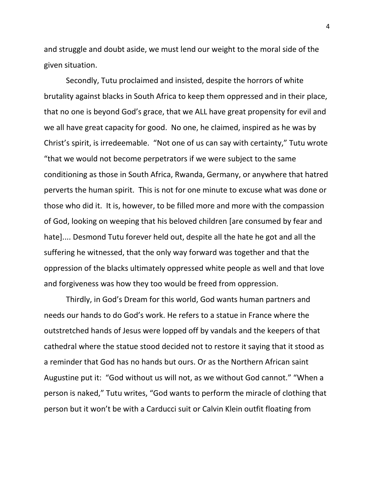and struggle and doubt aside, we must lend our weight to the moral side of the given situation.

Secondly, Tutu proclaimed and insisted, despite the horrors of white brutality against blacks in South Africa to keep them oppressed and in their place, that no one is beyond God's grace, that we ALL have great propensity for evil and we all have great capacity for good. No one, he claimed, inspired as he was by Christ's spirit, is irredeemable. "Not one of us can say with certainty," Tutu wrote "that we would not become perpetrators if we were subject to the same conditioning as those in South Africa, Rwanda, Germany, or anywhere that hatred perverts the human spirit. This is not for one minute to excuse what was done or those who did it. It is, however, to be filled more and more with the compassion of God, looking on weeping that his beloved children [are consumed by fear and hate].... Desmond Tutu forever held out, despite all the hate he got and all the suffering he witnessed, that the only way forward was together and that the oppression of the blacks ultimately oppressed white people as well and that love and forgiveness was how they too would be freed from oppression.

Thirdly, in God's Dream for this world, God wants human partners and needs our hands to do God's work. He refers to a statue in France where the outstretched hands of Jesus were lopped off by vandals and the keepers of that cathedral where the statue stood decided not to restore it saying that it stood as a reminder that God has no hands but ours. Or as the Northern African saint Augustine put it: "God without us will not, as we without God cannot." "When a person is naked," Tutu writes, "God wants to perform the miracle of clothing that person but it won't be with a Carducci suit or Calvin Klein outfit floating from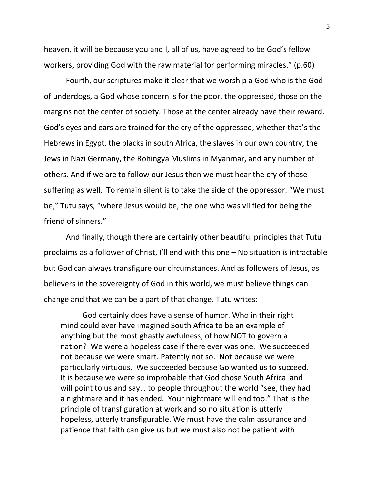heaven, it will be because you and I, all of us, have agreed to be God's fellow workers, providing God with the raw material for performing miracles." (p.60)

Fourth, our scriptures make it clear that we worship a God who is the God of underdogs, a God whose concern is for the poor, the oppressed, those on the margins not the center of society. Those at the center already have their reward. God's eyes and ears are trained for the cry of the oppressed, whether that's the Hebrews in Egypt, the blacks in south Africa, the slaves in our own country, the Jews in Nazi Germany, the Rohingya Muslims in Myanmar, and any number of others. And if we are to follow our Jesus then we must hear the cry of those suffering as well. To remain silent is to take the side of the oppressor. "We must be," Tutu says, "where Jesus would be, the one who was vilified for being the friend of sinners."

And finally, though there are certainly other beautiful principles that Tutu proclaims as a follower of Christ, I'll end with this one – No situation is intractable but God can always transfigure our circumstances. And as followers of Jesus, as believers in the sovereignty of God in this world, we must believe things can change and that we can be a part of that change. Tutu writes:

God certainly does have a sense of humor. Who in their right mind could ever have imagined South Africa to be an example of anything but the most ghastly awfulness, of how NOT to govern a nation? We were a hopeless case if there ever was one. We succeeded not because we were smart. Patently not so. Not because we were particularly virtuous. We succeeded because Go wanted us to succeed. It is because we were so improbable that God chose South Africa and will point to us and say… to people throughout the world "see, they had a nightmare and it has ended. Your nightmare will end too." That is the principle of transfiguration at work and so no situation is utterly hopeless, utterly transfigurable. We must have the calm assurance and patience that faith can give us but we must also not be patient with